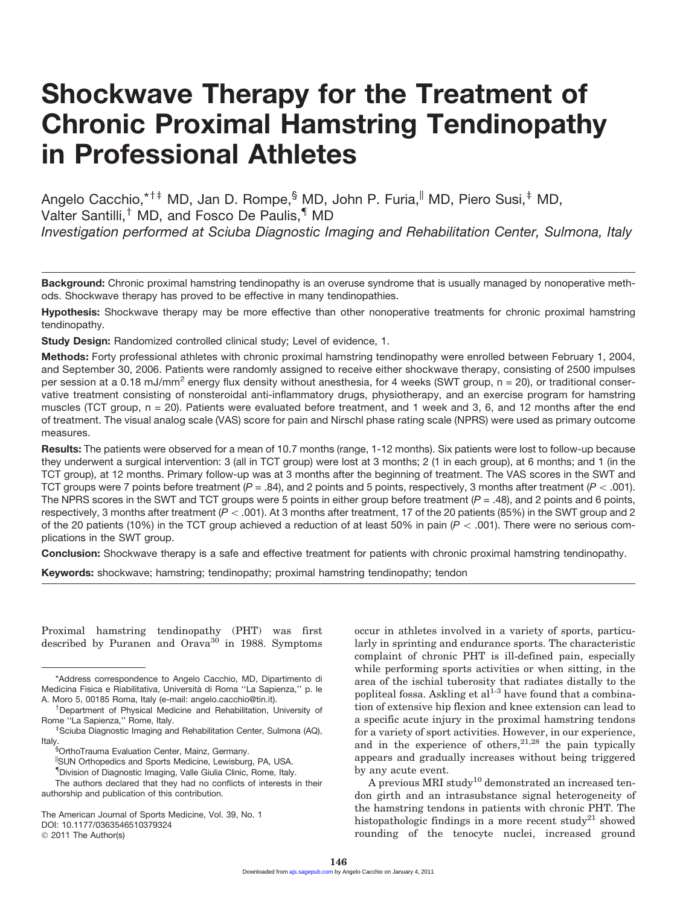# Shockwave Therapy for the Treatment of Chronic Proximal Hamstring Tendinopathy in Professional Athletes

Angelo Cacchio,\*<sup>†‡</sup> MD, Jan D. Rompe,<sup>§</sup> MD, John P. Furia,<sup>||</sup> MD, Piero Susi,<sup>‡</sup> MD, Valter Santilli,<sup>†</sup> MD, and Fosco De Paulis,<sup>¶</sup> MD *Investigation performed at Sciuba Diagnostic Imaging and Rehabilitation Center, Sulmona, Italy*

Background: Chronic proximal hamstring tendinopathy is an overuse syndrome that is usually managed by nonoperative methods. Shockwave therapy has proved to be effective in many tendinopathies.

Hypothesis: Shockwave therapy may be more effective than other nonoperative treatments for chronic proximal hamstring tendinopathy.

Study Design: Randomized controlled clinical study; Level of evidence, 1.

Methods: Forty professional athletes with chronic proximal hamstring tendinopathy were enrolled between February 1, 2004, and September 30, 2006. Patients were randomly assigned to receive either shockwave therapy, consisting of 2500 impulses per session at a 0.18 mJ/mm<sup>2</sup> energy flux density without anesthesia, for 4 weeks (SWT group,  $n = 20$ ), or traditional conservative treatment consisting of nonsteroidal anti-inflammatory drugs, physiotherapy, and an exercise program for hamstring muscles (TCT group,  $n = 20$ ). Patients were evaluated before treatment, and 1 week and 3, 6, and 12 months after the end of treatment. The visual analog scale (VAS) score for pain and Nirschl phase rating scale (NPRS) were used as primary outcome measures.

Results: The patients were observed for a mean of 10.7 months (range, 1-12 months). Six patients were lost to follow-up because they underwent a surgical intervention: 3 (all in TCT group) were lost at 3 months; 2 (1 in each group), at 6 months; and 1 (in the TCT group), at 12 months. Primary follow-up was at 3 months after the beginning of treatment. The VAS scores in the SWT and TCT groups were 7 points before treatment  $(P = .84)$ , and 2 points and 5 points, respectively, 3 months after treatment  $(P < .001)$ . The NPRS scores in the SWT and TCT groups were 5 points in either group before treatment  $(P = .48)$ , and 2 points and 6 points, respectively, 3 months after treatment (*P* < .001). At 3 months after treatment, 17 of the 20 patients (85%) in the SWT group and 2 of the 20 patients (10%) in the TCT group achieved a reduction of at least 50% in pain (*P* \ .001). There were no serious complications in the SWT group.

Conclusion: Shockwave therapy is a safe and effective treatment for patients with chronic proximal hamstring tendinopathy.

Keywords: shockwave; hamstring; tendinopathy; proximal hamstring tendinopathy; tendon

Proximal hamstring tendinopathy (PHT) was first described by Puranen and Orava $30$  in 1988. Symptoms

occur in athletes involved in a variety of sports, particularly in sprinting and endurance sports. The characteristic complaint of chronic PHT is ill-defined pain, especially while performing sports activities or when sitting, in the area of the ischial tuberosity that radiates distally to the popliteal fossa. Askling et  $al<sup>1-3</sup>$  have found that a combination of extensive hip flexion and knee extension can lead to a specific acute injury in the proximal hamstring tendons for a variety of sport activities. However, in our experience, and in the experience of others,  $2^{1,28}$  the pain typically appears and gradually increases without being triggered by any acute event.

A previous MRI study<sup>10</sup> demonstrated an increased tendon girth and an intrasubstance signal heterogeneity of the hamstring tendons in patients with chronic PHT. The histopathologic findings in a more recent study<sup>21</sup> showed rounding of the tenocyte nuclei, increased ground

<sup>\*</sup>Address correspondence to Angelo Cacchio, MD, Dipartimento di Medicina Fisica e Riabilitativa, Università di Roma "La Sapienza," p. le A. Moro 5, 00185 Roma, Italy (e-mail: angelo.cacchio@tin.it).

Department of Physical Medicine and Rehabilitation, University of Rome "La Sapienza," Rome, Italy.

Sciuba Diagnostic Imaging and Rehabilitation Center, Sulmona (AQ), Italy.

<sup>§</sup> OrthoTrauma Evaluation Center, Mainz, Germany.

<sup>||</sup>SUN Orthopedics and Sports Medicine, Lewisburg, PA, USA.

<sup>{</sup> Division of Diagnostic Imaging, Valle Giulia Clinic, Rome, Italy.

The authors declared that they had no conflicts of interests in their authorship and publication of this contribution.

The American Journal of Sports Medicine, Vol. 39, No. 1 DOI: 10.1177/0363546510379324 © 2011 The Author(s)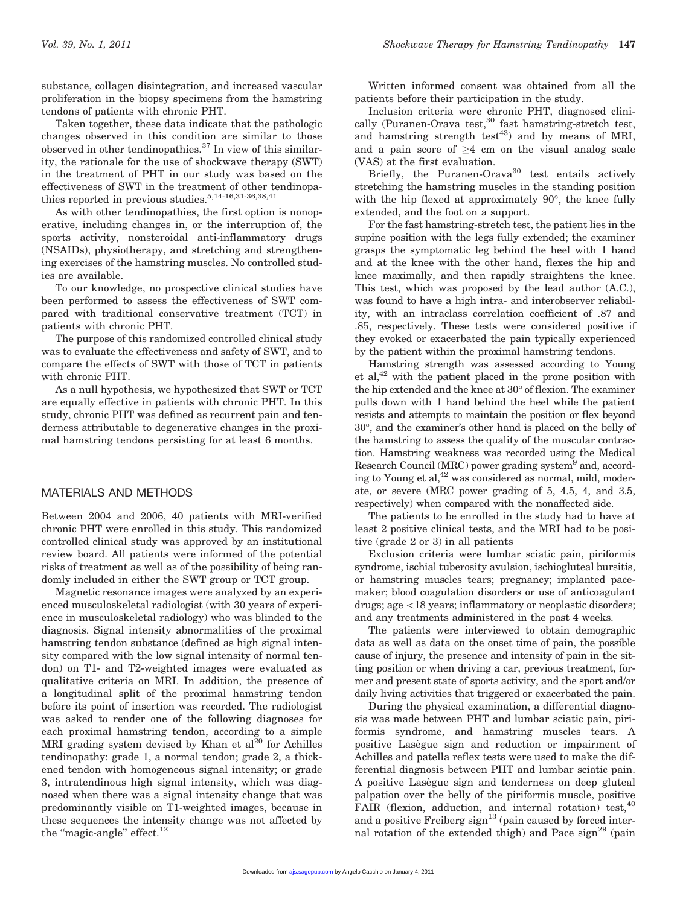substance, collagen disintegration, and increased vascular proliferation in the biopsy specimens from the hamstring tendons of patients with chronic PHT.

Taken together, these data indicate that the pathologic changes observed in this condition are similar to those observed in other tendinopathies.<sup>37</sup> In view of this similarity, the rationale for the use of shockwave therapy (SWT) in the treatment of PHT in our study was based on the effectiveness of SWT in the treatment of other tendinopathies reported in previous studies.  $5,14-16,31-36,38,41$ 

As with other tendinopathies, the first option is nonoperative, including changes in, or the interruption of, the sports activity, nonsteroidal anti-inflammatory drugs (NSAIDs), physiotherapy, and stretching and strengthening exercises of the hamstring muscles. No controlled studies are available.

To our knowledge, no prospective clinical studies have been performed to assess the effectiveness of SWT compared with traditional conservative treatment (TCT) in patients with chronic PHT.

The purpose of this randomized controlled clinical study was to evaluate the effectiveness and safety of SWT, and to compare the effects of SWT with those of TCT in patients with chronic PHT.

As a null hypothesis, we hypothesized that SWT or TCT are equally effective in patients with chronic PHT. In this study, chronic PHT was defined as recurrent pain and tenderness attributable to degenerative changes in the proximal hamstring tendons persisting for at least 6 months.

# MATERIALS AND METHODS

Between 2004 and 2006, 40 patients with MRI-verified chronic PHT were enrolled in this study. This randomized controlled clinical study was approved by an institutional review board. All patients were informed of the potential risks of treatment as well as of the possibility of being randomly included in either the SWT group or TCT group.

Magnetic resonance images were analyzed by an experienced musculoskeletal radiologist (with 30 years of experience in musculoskeletal radiology) who was blinded to the diagnosis. Signal intensity abnormalities of the proximal hamstring tendon substance (defined as high signal intensity compared with the low signal intensity of normal tendon) on T1- and T2-weighted images were evaluated as qualitative criteria on MRI. In addition, the presence of a longitudinal split of the proximal hamstring tendon before its point of insertion was recorded. The radiologist was asked to render one of the following diagnoses for each proximal hamstring tendon, according to a simple MRI grading system devised by Khan et  $al^{\bar{20}}$  for Achilles tendinopathy: grade 1, a normal tendon; grade 2, a thickened tendon with homogeneous signal intensity; or grade 3, intratendinous high signal intensity, which was diagnosed when there was a signal intensity change that was predominantly visible on T1-weighted images, because in these sequences the intensity change was not affected by the "magic-angle" effect. $12$ 

Written informed consent was obtained from all the patients before their participation in the study.

Inclusion criteria were chronic PHT, diagnosed clinically (Puranen-Orava test,<sup>30</sup> fast hamstring-stretch test, and hamstring strength test<sup>43</sup>) and by means of MRI, and a pain score of  $\geq 4$  cm on the visual analog scale (VAS) at the first evaluation.

Briefly, the Puranen-Orava $30$  test entails actively stretching the hamstring muscles in the standing position with the hip flexed at approximately  $90^{\circ}$ , the knee fully extended, and the foot on a support.

For the fast hamstring-stretch test, the patient lies in the supine position with the legs fully extended; the examiner grasps the symptomatic leg behind the heel with 1 hand and at the knee with the other hand, flexes the hip and knee maximally, and then rapidly straightens the knee. This test, which was proposed by the lead author (A.C.), was found to have a high intra- and interobserver reliability, with an intraclass correlation coefficient of .87 and .85, respectively. These tests were considered positive if they evoked or exacerbated the pain typically experienced by the patient within the proximal hamstring tendons.

Hamstring strength was assessed according to Young et al,  $42$  with the patient placed in the prone position with the hip extended and the knee at  $30^{\circ}$  of flexion. The examiner pulls down with 1 hand behind the heel while the patient resists and attempts to maintain the position or flex beyond 30, and the examiner's other hand is placed on the belly of the hamstring to assess the quality of the muscular contraction. Hamstring weakness was recorded using the Medical Research Council (MRC) power grading system<sup>9</sup> and, according to Young et al, $42$  was considered as normal, mild, moderate, or severe (MRC power grading of 5, 4.5, 4, and 3.5, respectively) when compared with the nonaffected side.

The patients to be enrolled in the study had to have at least 2 positive clinical tests, and the MRI had to be positive (grade 2 or 3) in all patients

Exclusion criteria were lumbar sciatic pain, piriformis syndrome, ischial tuberosity avulsion, ischiogluteal bursitis, or hamstring muscles tears; pregnancy; implanted pacemaker; blood coagulation disorders or use of anticoagulant drugs; age <18 years; inflammatory or neoplastic disorders; and any treatments administered in the past 4 weeks.

The patients were interviewed to obtain demographic data as well as data on the onset time of pain, the possible cause of injury, the presence and intensity of pain in the sitting position or when driving a car, previous treatment, former and present state of sports activity, and the sport and/or daily living activities that triggered or exacerbated the pain.

During the physical examination, a differential diagnosis was made between PHT and lumbar sciatic pain, piriformis syndrome, and hamstring muscles tears. A positive Lasegue sign and reduction or impairment of Achilles and patella reflex tests were used to make the differential diagnosis between PHT and lumbar sciatic pain. A positive Lasègue sign and tenderness on deep gluteal palpation over the belly of the piriformis muscle, positive FAIR (flexion, adduction, and internal rotation) test,<sup>40</sup> and a positive Freiberg sign<sup>13</sup> (pain caused by forced internal rotation of the extended thigh) and Pace  $sign^{29}$  (pain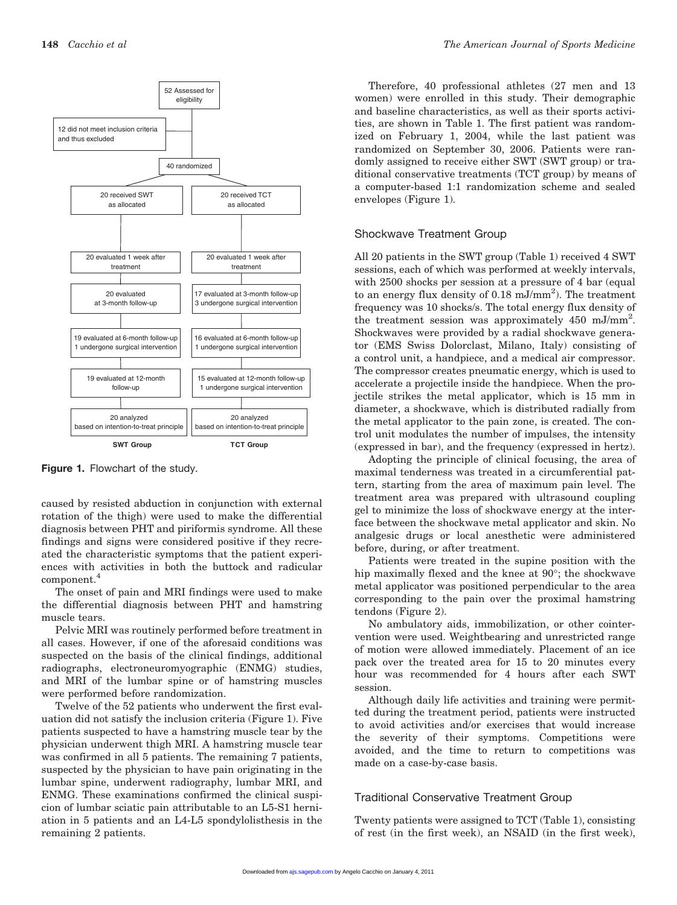

Figure 1. Flowchart of the study.

caused by resisted abduction in conjunction with external rotation of the thigh) were used to make the differential diagnosis between PHT and piriformis syndrome. All these findings and signs were considered positive if they recreated the characteristic symptoms that the patient experiences with activities in both the buttock and radicular component.<sup>4</sup>

The onset of pain and MRI findings were used to make the differential diagnosis between PHT and hamstring muscle tears.

Pelvic MRI was routinely performed before treatment in all cases. However, if one of the aforesaid conditions was suspected on the basis of the clinical findings, additional radiographs, electroneuromyographic (ENMG) studies, and MRI of the lumbar spine or of hamstring muscles were performed before randomization.

Twelve of the 52 patients who underwent the first evaluation did not satisfy the inclusion criteria (Figure 1). Five patients suspected to have a hamstring muscle tear by the physician underwent thigh MRI. A hamstring muscle tear was confirmed in all 5 patients. The remaining 7 patients, suspected by the physician to have pain originating in the lumbar spine, underwent radiography, lumbar MRI, and ENMG. These examinations confirmed the clinical suspicion of lumbar sciatic pain attributable to an L5-S1 herniation in 5 patients and an L4-L5 spondylolisthesis in the remaining 2 patients.

Therefore, 40 professional athletes (27 men and 13 women) were enrolled in this study. Their demographic and baseline characteristics, as well as their sports activities, are shown in Table 1. The first patient was randomized on February 1, 2004, while the last patient was randomized on September 30, 2006. Patients were randomly assigned to receive either SWT (SWT group) or traditional conservative treatments (TCT group) by means of a computer-based 1:1 randomization scheme and sealed envelopes (Figure 1).

#### Shockwave Treatment Group

All 20 patients in the SWT group (Table 1) received 4 SWT sessions, each of which was performed at weekly intervals, with 2500 shocks per session at a pressure of 4 bar (equal to an energy flux density of  $0.18 \text{ mJ/mm}^2$ ). The treatment frequency was 10 shocks/s. The total energy flux density of the treatment session was approximately 450 mJ/mm<sup>2</sup>. Shockwaves were provided by a radial shockwave generator (EMS Swiss Dolorclast, Milano, Italy) consisting of a control unit, a handpiece, and a medical air compressor. The compressor creates pneumatic energy, which is used to accelerate a projectile inside the handpiece. When the projectile strikes the metal applicator, which is 15 mm in diameter, a shockwave, which is distributed radially from the metal applicator to the pain zone, is created. The control unit modulates the number of impulses, the intensity (expressed in bar), and the frequency (expressed in hertz).

Adopting the principle of clinical focusing, the area of maximal tenderness was treated in a circumferential pattern, starting from the area of maximum pain level. The treatment area was prepared with ultrasound coupling gel to minimize the loss of shockwave energy at the interface between the shockwave metal applicator and skin. No analgesic drugs or local anesthetic were administered before, during, or after treatment.

Patients were treated in the supine position with the hip maximally flexed and the knee at 90°; the shockwave metal applicator was positioned perpendicular to the area corresponding to the pain over the proximal hamstring tendons (Figure 2).

No ambulatory aids, immobilization, or other cointervention were used. Weightbearing and unrestricted range of motion were allowed immediately. Placement of an ice pack over the treated area for 15 to 20 minutes every hour was recommended for 4 hours after each SWT session.

Although daily life activities and training were permitted during the treatment period, patients were instructed to avoid activities and/or exercises that would increase the severity of their symptoms. Competitions were avoided, and the time to return to competitions was made on a case-by-case basis.

## Traditional Conservative Treatment Group

Twenty patients were assigned to TCT (Table 1), consisting of rest (in the first week), an NSAID (in the first week),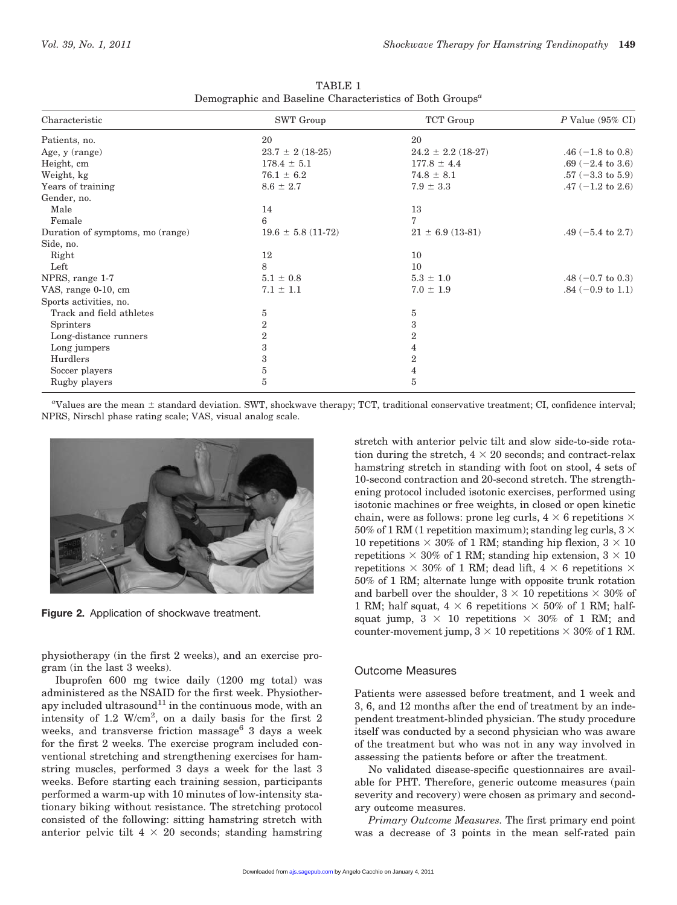| Characteristic                   | <b>SWT</b> Group       | TCT Group              | $P$ Value (95% CI)           |  |
|----------------------------------|------------------------|------------------------|------------------------------|--|
| Patients, no.                    | 20                     | 20                     |                              |  |
| Age, y (range)                   | $23.7 \pm 2(18-25)$    | $24.2 \pm 2.2$ (18-27) | .46 $(-1.8 \text{ to } 0.8)$ |  |
| Height, cm                       | $178.4 \pm 5.1$        | $177.8 \pm 4.4$        | $.69 (-2.4 \text{ to } 3.6)$ |  |
| Weight, kg                       | $76.1 \pm 6.2$         | $74.8 \pm 8.1$         | $.57 (-3.3 \text{ to } 5.9)$ |  |
| Years of training                | $8.6 \pm 2.7$          | $7.9 \pm 3.3$          | .47 $(-1.2 \text{ to } 2.6)$ |  |
| Gender, no.                      |                        |                        |                              |  |
| Male                             | 14                     | 13                     |                              |  |
| Female                           | 6                      | 7                      |                              |  |
| Duration of symptoms, mo (range) | $19.6 \pm 5.8$ (11-72) | $21 \pm 6.9$ (13-81)   | .49 $(-5.4 \text{ to } 2.7)$ |  |
| Side, no.                        |                        |                        |                              |  |
| Right                            | 12                     | 10                     |                              |  |
| Left                             | 8                      | 10                     |                              |  |
| NPRS, range 1-7                  | $5.1 \pm 0.8$          | $5.3 \pm 1.0$          | .48 $(-0.7 \text{ to } 0.3)$ |  |
| VAS, range 0-10, cm              | $7.1 \pm 1.1$          | $7.0 \pm 1.9$          | $.84 (-0.9 \text{ to } 1.1)$ |  |
| Sports activities, no.           |                        |                        |                              |  |
| Track and field athletes         | 5                      | 5                      |                              |  |
| <b>Sprinters</b>                 | 2                      | 3                      |                              |  |
| Long-distance runners            | $\overline{2}$         | $\boldsymbol{2}$       |                              |  |
| Long jumpers                     | 3                      | 4                      |                              |  |
| Hurdlers                         | 3                      | $\boldsymbol{2}$       |                              |  |
| Soccer players                   | $\rm 5$                | 4                      |                              |  |
| Rugby players                    | 5                      | 5                      |                              |  |

TABLE 1 Demographic and Baseline Characteristics of Both Groups<sup> $a$ </sup>

"Values are the mean  $\pm$  standard deviation. SWT, shockwave therapy; TCT, traditional conservative treatment; CI, confidence interval; NPRS, Nirschl phase rating scale; VAS, visual analog scale.



Figure 2. Application of shockwave treatment.

physiotherapy (in the first 2 weeks), and an exercise program (in the last 3 weeks).

Ibuprofen 600 mg twice daily (1200 mg total) was administered as the NSAID for the first week. Physiotherapy included ultrasound<sup>11</sup> in the continuous mode, with an intensity of 1.2  $W/cm^2$ , on a daily basis for the first 2 weeks, and transverse friction massage<sup>6</sup> 3 days a week for the first 2 weeks. The exercise program included conventional stretching and strengthening exercises for hamstring muscles, performed 3 days a week for the last 3 weeks. Before starting each training session, participants performed a warm-up with 10 minutes of low-intensity stationary biking without resistance. The stretching protocol consisted of the following: sitting hamstring stretch with anterior pelvic tilt  $4 \times 20$  seconds; standing hamstring

stretch with anterior pelvic tilt and slow side-to-side rotation during the stretch,  $4 \times 20$  seconds; and contract-relax hamstring stretch in standing with foot on stool, 4 sets of 10-second contraction and 20-second stretch. The strengthening protocol included isotonic exercises, performed using isotonic machines or free weights, in closed or open kinetic chain, were as follows: prone leg curls,  $4 \times 6$  repetitions  $\times$ 50% of 1 RM (1 repetition maximum); standing leg curls,  $3 \times$ 10 repetitions  $\times$  30% of 1 RM; standing hip flexion, 3  $\times$  10 repetitions  $\times$  30% of 1 RM; standing hip extension,  $3 \times 10$ repetitions  $\times$  30% of 1 RM; dead lift, 4  $\times$  6 repetitions  $\times$ 50% of 1 RM; alternate lunge with opposite trunk rotation and barbell over the shoulder,  $3 \times 10$  repetitions  $\times 30\%$  of 1 RM; half squat,  $4 \times 6$  repetitions  $\times 50\%$  of 1 RM; halfsquat jump,  $3 \times 10$  repetitions  $\times 30\%$  of 1 RM; and counter-movement jump,  $3 \times 10$  repetitions  $\times 30\%$  of 1 RM.

# Outcome Measures

Patients were assessed before treatment, and 1 week and 3, 6, and 12 months after the end of treatment by an independent treatment-blinded physician. The study procedure itself was conducted by a second physician who was aware of the treatment but who was not in any way involved in assessing the patients before or after the treatment.

No validated disease-specific questionnaires are available for PHT. Therefore, generic outcome measures (pain severity and recovery) were chosen as primary and secondary outcome measures.

Primary Outcome Measures. The first primary end point was a decrease of 3 points in the mean self-rated pain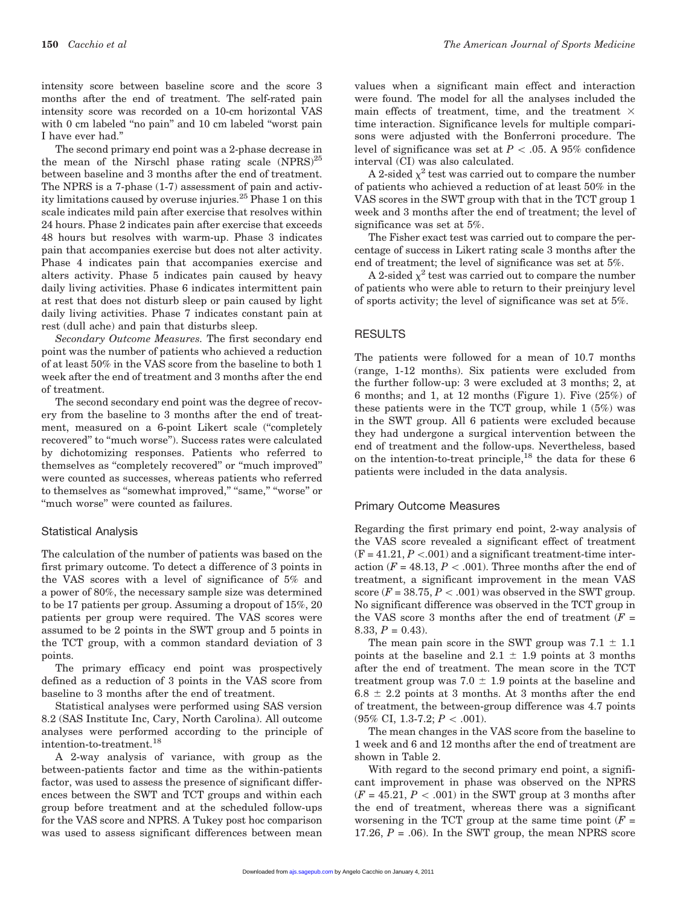intensity score between baseline score and the score 3 months after the end of treatment. The self-rated pain intensity score was recorded on a 10-cm horizontal VAS with 0 cm labeled "no pain" and 10 cm labeled "worst pain I have ever had.''

The second primary end point was a 2-phase decrease in the mean of the Nirschl phase rating scale  $(NPRS)^{25}$ between baseline and 3 months after the end of treatment. The NPRS is a 7-phase (1-7) assessment of pain and activity limitations caused by overuse injuries.<sup>25</sup> Phase 1 on this scale indicates mild pain after exercise that resolves within 24 hours. Phase 2 indicates pain after exercise that exceeds 48 hours but resolves with warm-up. Phase 3 indicates pain that accompanies exercise but does not alter activity. Phase 4 indicates pain that accompanies exercise and alters activity. Phase 5 indicates pain caused by heavy daily living activities. Phase 6 indicates intermittent pain at rest that does not disturb sleep or pain caused by light daily living activities. Phase 7 indicates constant pain at rest (dull ache) and pain that disturbs sleep.

Secondary Outcome Measures. The first secondary end point was the number of patients who achieved a reduction of at least 50% in the VAS score from the baseline to both 1 week after the end of treatment and 3 months after the end of treatment.

The second secondary end point was the degree of recovery from the baseline to 3 months after the end of treatment, measured on a 6-point Likert scale (''completely recovered'' to ''much worse''). Success rates were calculated by dichotomizing responses. Patients who referred to themselves as ''completely recovered'' or ''much improved'' were counted as successes, whereas patients who referred to themselves as "somewhat improved," "same," "worse" or ''much worse'' were counted as failures.

#### Statistical Analysis

The calculation of the number of patients was based on the first primary outcome. To detect a difference of 3 points in the VAS scores with a level of significance of 5% and a power of 80%, the necessary sample size was determined to be 17 patients per group. Assuming a dropout of 15%, 20 patients per group were required. The VAS scores were assumed to be 2 points in the SWT group and 5 points in the TCT group, with a common standard deviation of 3 points.

The primary efficacy end point was prospectively defined as a reduction of 3 points in the VAS score from baseline to 3 months after the end of treatment.

Statistical analyses were performed using SAS version 8.2 (SAS Institute Inc, Cary, North Carolina). All outcome analyses were performed according to the principle of intention-to-treatment.<sup>18</sup>

A 2-way analysis of variance, with group as the between-patients factor and time as the within-patients factor, was used to assess the presence of significant differences between the SWT and TCT groups and within each group before treatment and at the scheduled follow-ups for the VAS score and NPRS. A Tukey post hoc comparison was used to assess significant differences between mean values when a significant main effect and interaction were found. The model for all the analyses included the main effects of treatment, time, and the treatment  $\times$ time interaction. Significance levels for multiple comparisons were adjusted with the Bonferroni procedure. The level of significance was set at  $P < .05$ . A 95% confidence interval (CI) was also calculated.

A 2-sided  $\chi^2$  test was carried out to compare the number of patients who achieved a reduction of at least 50% in the VAS scores in the SWT group with that in the TCT group 1 week and 3 months after the end of treatment; the level of significance was set at 5%.

The Fisher exact test was carried out to compare the percentage of success in Likert rating scale 3 months after the end of treatment; the level of significance was set at 5%.

A 2-sided  $\chi^2$  test was carried out to compare the number of patients who were able to return to their preinjury level of sports activity; the level of significance was set at 5%.

#### RESULTS

The patients were followed for a mean of 10.7 months (range, 1-12 months). Six patients were excluded from the further follow-up: 3 were excluded at 3 months; 2, at 6 months; and 1, at 12 months (Figure 1). Five (25%) of these patients were in the TCT group, while 1 (5%) was in the SWT group. All 6 patients were excluded because they had undergone a surgical intervention between the end of treatment and the follow-ups. Nevertheless, based on the intention-to-treat principle,  $^{18}$  the data for these 6 patients were included in the data analysis.

#### Primary Outcome Measures

Regarding the first primary end point, 2-way analysis of the VAS score revealed a significant effect of treatment  $(F = 41.21, P < .001)$  and a significant treatment-time interaction ( $F = 48.13, P < .001$ ). Three months after the end of treatment, a significant improvement in the mean VAS score ( $F = 38.75, P < .001$ ) was observed in the SWT group. No significant difference was observed in the TCT group in the VAS score 3 months after the end of treatment  $(F =$  $8.33, P = 0.43$ .

The mean pain score in the SWT group was  $7.1 \pm 1.1$ points at the baseline and  $2.1 \pm 1.9$  points at 3 months after the end of treatment. The mean score in the TCT treatment group was  $7.0 \pm 1.9$  points at the baseline and  $6.8 \pm 2.2$  points at 3 months. At 3 months after the end of treatment, the between-group difference was 4.7 points  $(95\% \text{ CI}, 1.3-7.2; P < .001).$ 

The mean changes in the VAS score from the baseline to 1 week and 6 and 12 months after the end of treatment are shown in Table 2.

With regard to the second primary end point, a significant improvement in phase was observed on the NPRS  $(F = 45.21, P < .001)$  in the SWT group at 3 months after the end of treatment, whereas there was a significant worsening in the TCT group at the same time point  $(F =$ 17.26,  $P = .06$ ). In the SWT group, the mean NPRS score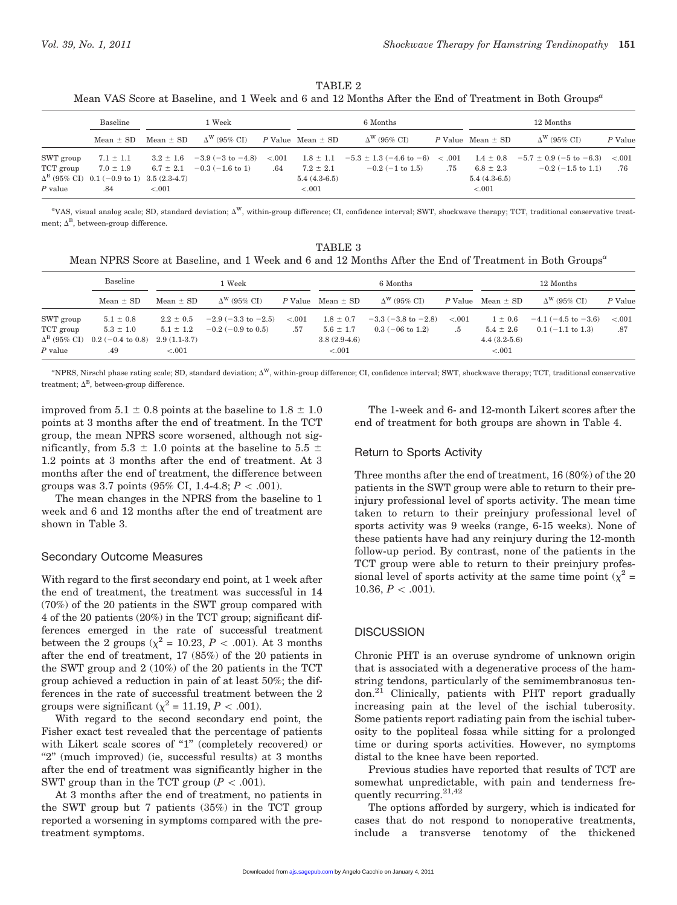| TABLE 2                                                                                                           |  |  |  |  |  |  |  |  |
|-------------------------------------------------------------------------------------------------------------------|--|--|--|--|--|--|--|--|
| Mean VAS Score at Baseline, and 1 Week and 6 and 12 Months After the End of Treatment in Both Groups <sup>a</sup> |  |  |  |  |  |  |  |  |

|                                     | 1 Week<br>Baseline                                       |               |                                                                                                                     |     | 6 Months                                   | 12 Months                                                                                                                                                |     |                                            |                           |         |
|-------------------------------------|----------------------------------------------------------|---------------|---------------------------------------------------------------------------------------------------------------------|-----|--------------------------------------------|----------------------------------------------------------------------------------------------------------------------------------------------------------|-----|--------------------------------------------|---------------------------|---------|
|                                     | Mean $\pm$ SD                                            | $Mean \pm SD$ | $\Delta^{\rm W}$ (95% CI) P Value Mean $\pm$ SD                                                                     |     |                                            | $\Delta^{\rm W}$ (95% CI)                                                                                                                                |     | $P$ Value Mean $\pm$ SD                    | $\Delta^{\rm W}$ (95% CD) | P Value |
| SWT group<br>TCT group<br>$P$ value | $\Delta^B$ (95% CI) 0.1 (-0.9 to 1) 3.5 (2.3-4.7)<br>.84 | < 0.001       | $7.1 \pm 1.1$ $3.2 \pm 1.6$ $-3.9$ $(-3 \text{ to } -4.8)$ $< .001$<br>$7.0 \pm 1.9$ 6.7 $\pm 2.1$ -0.3 (-1.6 to 1) | .64 | $7.2 \pm 2.1$<br>$5.4(4.3-6.5)$<br>$-.001$ | $1.8 \pm 1.1$ $-5.3 \pm 1.3$ $(-4.6 \text{ to } -6)$ $\lt$ 0.01 $1.4 \pm 0.8$ $-5.7 \pm 0.9$ $(-5 \text{ to } -6.3)$ $\lt$ 0.01<br>$-0.2$ ( $-1$ to 1.5) | .75 | $6.8 \pm 2.3$<br>$5.4(4.3-6.5)$<br>< 0.001 | $-0.2$ (-1.5 to 1.1)      | .76     |

 $\rm ^wVAS$ , visual analog scale; SD, standard deviation;  $\Delta^W$ , within-group difference; CI, confidence interval; SWT, shockwave therapy; TCT, traditional conservative treatment;  $\Delta^{\text{B}}$ , between-group difference.

TABLE 3 Mean NPRS Score at Baseline, and 1 Week and 6 and 12 Months After the End of Treatment in Both Groups<sup>a</sup>

|                           | Baseline                                   | 1 Week        |                               |         | 6 Months                |                               |         | 12 Months             |                              |         |
|---------------------------|--------------------------------------------|---------------|-------------------------------|---------|-------------------------|-------------------------------|---------|-----------------------|------------------------------|---------|
|                           | $Mean \pm SD$                              | Mean $\pm$ SD | $\Delta^{\rm W}$ (95% CI)     |         | $P$ Value Mean $\pm$ SD | $\Delta^{\rm W}$ (95% CI)     |         | P Value Mean $\pm$ SD | $\Delta^{\rm W}$ (95% CI)    | P Value |
| SWT group                 | $5.1 \pm 0.8$                              | $2.2 \pm 0.5$ | $-2.9(-3.3 \text{ to } -2.5)$ | < 0.001 | $1.8 \pm 0.7$           | $-3.3(-3.8 \text{ to } -2.8)$ | < 0.001 | $1 \pm 0.6$           | $-4.1$ ( $-4.5$ to $-3.6$ )  | < 0.001 |
| TCT group                 | $5.3 \pm 1.0$                              | $5.1 \pm 1.2$ | $-0.2$ (-0.9 to 0.5)          | .57     | $5.6 \pm 1.7$           | $0.3$ (-06 to 1.2)            | .5      | $5.4 \pm 2.6$         | $0.1 (-1.1 \text{ to } 1.3)$ | .87     |
| $\Delta^{\rm B}$ (95% CI) | $0.2 (-0.4 \text{ to } 0.8)$ 2.9 (1.1-3.7) |               |                               |         | $3.8(2.9-4.6)$          |                               |         | $4.4(3.2-5.6)$        |                              |         |
| $P$ value                 | .49                                        | < 0.001       |                               |         | ${<}.001$               |                               |         | < 0.001               |                              |         |

 $\mathrm{PPRS},$  Nirschl phase rating scale; SD, standard deviation;  $\Delta^\mathrm{W},$  within-group difference; CI, confidence interval; SWT, shockwave therapy; TCT, traditional conservative treatment;  $\Delta^{\text{B}}$ , between-group difference.

improved from  $5.1 \pm 0.8$  points at the baseline to  $1.8 \pm 1.0$ points at 3 months after the end of treatment. In the TCT group, the mean NPRS score worsened, although not significantly, from 5.3  $\pm$  1.0 points at the baseline to 5.5  $\pm$ 1.2 points at 3 months after the end of treatment. At 3 months after the end of treatment, the difference between groups was 3.7 points (95% CI, 1.4-4.8;  $P < .001$ ).

The mean changes in the NPRS from the baseline to 1 week and 6 and 12 months after the end of treatment are shown in Table 3.

#### Secondary Outcome Measures

With regard to the first secondary end point, at 1 week after the end of treatment, the treatment was successful in 14 (70%) of the 20 patients in the SWT group compared with 4 of the 20 patients (20%) in the TCT group; significant differences emerged in the rate of successful treatment between the 2 groups ( $\chi^2$  = 10.23, P < .001). At 3 months after the end of treatment, 17 (85%) of the 20 patients in the SWT group and 2 (10%) of the 20 patients in the TCT group achieved a reduction in pain of at least 50%; the differences in the rate of successful treatment between the 2 groups were significant ( $\chi^2 = 11.19$ ,  $P < .001$ ).

With regard to the second secondary end point, the Fisher exact test revealed that the percentage of patients with Likert scale scores of "1" (completely recovered) or "2" (much improved) (ie, successful results) at 3 months after the end of treatment was significantly higher in the SWT group than in the TCT group ( $P < .001$ ).

At 3 months after the end of treatment, no patients in the SWT group but 7 patients (35%) in the TCT group reported a worsening in symptoms compared with the pretreatment symptoms.

The 1-week and 6- and 12-month Likert scores after the end of treatment for both groups are shown in Table 4.

#### Return to Sports Activity

Three months after the end of treatment, 16 (80%) of the 20 patients in the SWT group were able to return to their preinjury professional level of sports activity. The mean time taken to return to their preinjury professional level of sports activity was 9 weeks (range, 6-15 weeks). None of these patients have had any reinjury during the 12-month follow-up period. By contrast, none of the patients in the TCT group were able to return to their preinjury professional level of sports activity at the same time point ( $\chi^2$  = 10.36,  $P < .001$ ).

#### **DISCUSSION**

Chronic PHT is an overuse syndrome of unknown origin that is associated with a degenerative process of the hamstring tendons, particularly of the semimembranosus tendon.21 Clinically, patients with PHT report gradually increasing pain at the level of the ischial tuberosity. Some patients report radiating pain from the ischial tuberosity to the popliteal fossa while sitting for a prolonged time or during sports activities. However, no symptoms distal to the knee have been reported.

Previous studies have reported that results of TCT are somewhat unpredictable, with pain and tenderness frequently recurring. $21,42$ 

The options afforded by surgery, which is indicated for cases that do not respond to nonoperative treatments, include a transverse tenotomy of the thickened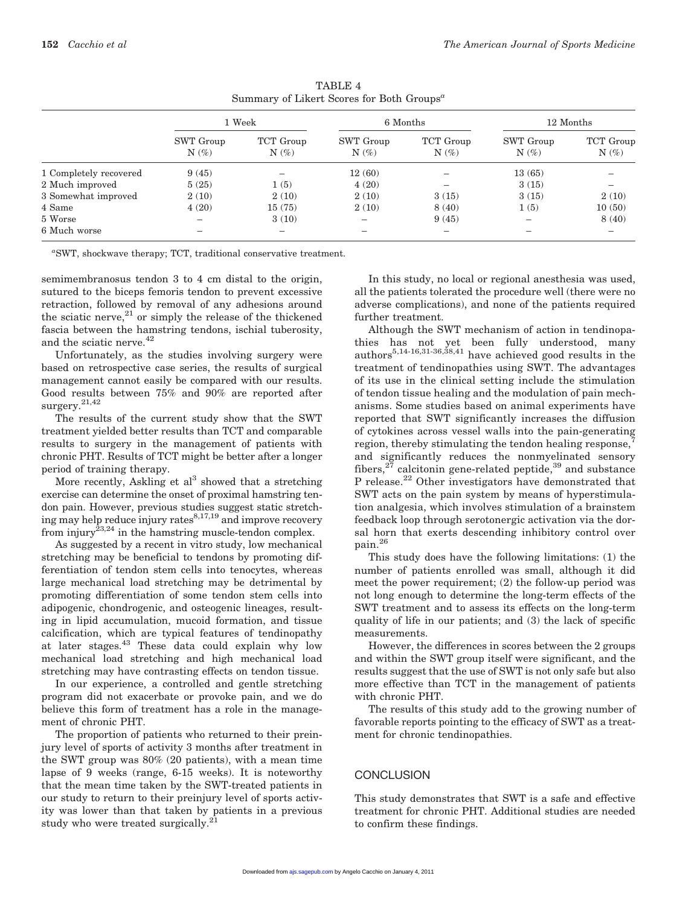|                        |                      | 1 Week               |                      | 6 Months             | 12 Months            |                      |  |
|------------------------|----------------------|----------------------|----------------------|----------------------|----------------------|----------------------|--|
|                        | SWT Group<br>$N(\%)$ | TCT Group<br>$N(\%)$ | SWT Group<br>$N(\%)$ | TCT Group<br>$N(\%)$ | SWT Group<br>$N(\%)$ | TCT Group<br>$N(\%)$ |  |
| 1 Completely recovered | 9(45)                |                      | 12(60)               |                      | 13(65)               |                      |  |
| 2 Much improved        | 5(25)                | 1(5)                 | 4(20)                |                      | 3(15)                |                      |  |
| 3 Somewhat improved    | 2(10)                | 2(10)                | 2(10)                | 3(15)                | 3(15)                | 2(10)                |  |
| 4 Same                 | 4(20)                | 15(75)               | 2(10)                | 8(40)                | 1(5)                 | 10(50)               |  |
| 5 Worse                |                      | 3(10)                | -                    | 9(45)                |                      | 8(40)                |  |
| 6 Much worse           |                      | -                    | -                    |                      |                      |                      |  |

TABLE 4 Summary of Likert Scores for Both Groups<sup> $a$ </sup>

a SWT, shockwave therapy; TCT, traditional conservative treatment.

semimembranosus tendon 3 to 4 cm distal to the origin, sutured to the biceps femoris tendon to prevent excessive retraction, followed by removal of any adhesions around the sciatic nerve, $21$  or simply the release of the thickened fascia between the hamstring tendons, ischial tuberosity, and the sciatic nerve.<sup>42</sup>

Unfortunately, as the studies involving surgery were based on retrospective case series, the results of surgical management cannot easily be compared with our results. Good results between 75% and 90% are reported after surgery.21,42

The results of the current study show that the SWT treatment yielded better results than TCT and comparable results to surgery in the management of patients with chronic PHT. Results of TCT might be better after a longer period of training therapy.

More recently, Askling et  $al<sup>3</sup>$  showed that a stretching exercise can determine the onset of proximal hamstring tendon pain. However, previous studies suggest static stretching may help reduce injury rates $8,17,19$  and improve recovery from injury<sup> $23,24$ </sup> in the hamstring muscle-tendon complex.

As suggested by a recent in vitro study, low mechanical stretching may be beneficial to tendons by promoting differentiation of tendon stem cells into tenocytes, whereas large mechanical load stretching may be detrimental by promoting differentiation of some tendon stem cells into adipogenic, chondrogenic, and osteogenic lineages, resulting in lipid accumulation, mucoid formation, and tissue calcification, which are typical features of tendinopathy at later stages.<sup>43</sup> These data could explain why low mechanical load stretching and high mechanical load stretching may have contrasting effects on tendon tissue.

In our experience, a controlled and gentle stretching program did not exacerbate or provoke pain, and we do believe this form of treatment has a role in the management of chronic PHT.

The proportion of patients who returned to their preinjury level of sports of activity 3 months after treatment in the SWT group was 80% (20 patients), with a mean time lapse of 9 weeks (range, 6-15 weeks). It is noteworthy that the mean time taken by the SWT-treated patients in our study to return to their preinjury level of sports activity was lower than that taken by patients in a previous study who were treated surgically. $^{21}$ 

In this study, no local or regional anesthesia was used, all the patients tolerated the procedure well (there were no adverse complications), and none of the patients required further treatment.

Although the SWT mechanism of action in tendinopathies has not yet been fully understood, many authors<sup>5,14-16,31-36,38,41</sup> have achieved good results in the treatment of tendinopathies using SWT. The advantages of its use in the clinical setting include the stimulation of tendon tissue healing and the modulation of pain mechanisms. Some studies based on animal experiments have reported that SWT significantly increases the diffusion of cytokines across vessel walls into the pain-generating region, thereby stimulating the tendon healing response, and significantly reduces the nonmyelinated sensory fibers,  $27$  calcitonin gene-related peptide,  $39$  and substance P release.<sup>22</sup> Other investigators have demonstrated that SWT acts on the pain system by means of hyperstimulation analgesia, which involves stimulation of a brainstem feedback loop through serotonergic activation via the dorsal horn that exerts descending inhibitory control over pain.<sup>26</sup>

This study does have the following limitations: (1) the number of patients enrolled was small, although it did meet the power requirement; (2) the follow-up period was not long enough to determine the long-term effects of the SWT treatment and to assess its effects on the long-term quality of life in our patients; and (3) the lack of specific measurements.

However, the differences in scores between the 2 groups and within the SWT group itself were significant, and the results suggest that the use of SWT is not only safe but also more effective than TCT in the management of patients with chronic PHT.

The results of this study add to the growing number of favorable reports pointing to the efficacy of SWT as a treatment for chronic tendinopathies.

## **CONCLUSION**

This study demonstrates that SWT is a safe and effective treatment for chronic PHT. Additional studies are needed to confirm these findings.